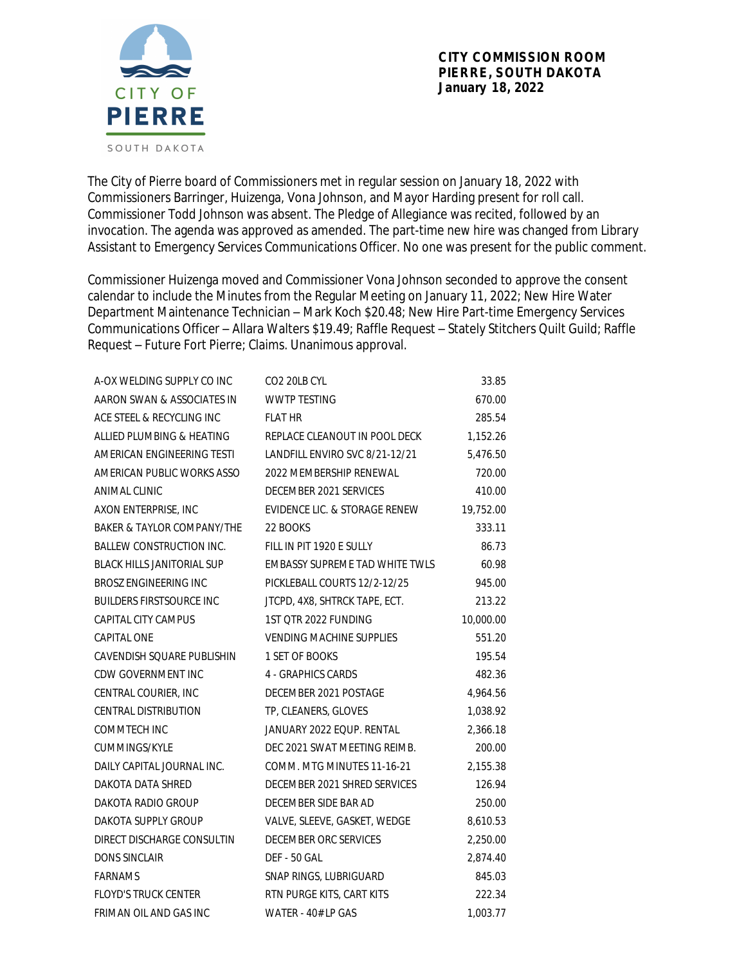

The City of Pierre board of Commissioners met in regular session on January 18, 2022 with Commissioners Barringer, Huizenga, Vona Johnson, and Mayor Harding present for roll call. Commissioner Todd Johnson was absent. The Pledge of Allegiance was recited, followed by an invocation. The agenda was approved as amended. The part-time new hire was changed from Library Assistant to Emergency Services Communications Officer. No one was present for the public comment.

Commissioner Huizenga moved and Commissioner Vona Johnson seconded to approve the consent calendar to include the Minutes from the Regular Meeting on January 11, 2022; New Hire Water Department Maintenance Technician – Mark Koch \$20.48; New Hire Part-time Emergency Services Communications Officer – Allara Walters \$19.49; Raffle Request – Stately Stitchers Quilt Guild; Raffle Request – Future Fort Pierre; Claims. Unanimous approval.

| A-OX WELDING SUPPLY CO INC        | CO2 20LB CYL                    | 33.85     |
|-----------------------------------|---------------------------------|-----------|
| AARON SWAN & ASSOCIATES IN        | <b>WWTP TESTING</b>             | 670.00    |
| ACE STEEL & RECYCLING INC         | <b>FLAT HR</b>                  | 285.54    |
| ALLIED PLUMBING & HEATING         | REPLACE CLEANOUT IN POOL DECK   | 1,152.26  |
| AMERICAN ENGINEERING TESTI        | LANDFILL ENVIRO SVC 8/21-12/21  | 5,476.50  |
| AMERICAN PUBLIC WORKS ASSO        | 2022 MEMBERSHIP RENEWAL         | 720.00    |
| <b>ANIMAL CLINIC</b>              | DECEMBER 2021 SERVICES          | 410.00    |
| AXON ENTERPRISE, INC              | EVIDENCE LIC. & STORAGE RENEW   | 19,752.00 |
| BAKER & TAYLOR COMPANY/THE        | 22 BOOKS                        | 333.11    |
| <b>BALLEW CONSTRUCTION INC.</b>   | FILL IN PIT 1920 E SULLY        | 86.73     |
| <b>BLACK HILLS JANITORIAL SUP</b> | EMBASSY SUPREME TAD WHITE TWLS  | 60.98     |
| <b>BROSZ ENGINEERING INC</b>      | PICKLEBALL COURTS 12/2-12/25    | 945.00    |
| <b>BUILDERS FIRSTSOURCE INC</b>   | JTCPD, 4X8, SHTRCK TAPE, ECT.   | 213.22    |
| CAPITAL CITY CAMPUS               | 1ST QTR 2022 FUNDING            | 10,000.00 |
| <b>CAPITAL ONE</b>                | <b>VENDING MACHINE SUPPLIES</b> | 551.20    |
| CAVENDISH SQUARE PUBLISHIN        | 1 SET OF BOOKS                  | 195.54    |
| CDW GOVERNMENT INC                | 4 - GRAPHICS CARDS              | 482.36    |
| CENTRAL COURIER, INC              | DECEMBER 2021 POSTAGE           | 4,964.56  |
| <b>CENTRAL DISTRIBUTION</b>       | TP, CLEANERS, GLOVES            | 1,038.92  |
| COMMTECH INC                      | JANUARY 2022 EQUP. RENTAL       | 2,366.18  |
| CUMMINGS/KYLE                     | DEC 2021 SWAT MEETING REIMB.    | 200.00    |
| DAILY CAPITAL JOURNAL INC.        | COMM. MTG MINUTES 11-16-21      | 2,155.38  |
| DAKOTA DATA SHRED                 | DECEMBER 2021 SHRED SERVICES    | 126.94    |
| DAKOTA RADIO GROUP                | DECEMBER SIDE BAR AD            | 250.00    |
| DAKOTA SUPPLY GROUP               | VALVE, SLEEVE, GASKET, WEDGE    | 8,610.53  |
| DIRECT DISCHARGE CONSULTIN        | DECEMBER ORC SERVICES           | 2,250.00  |
| <b>DONS SINCLAIR</b>              | <b>DEF - 50 GAL</b>             | 2,874.40  |
| <b>FARNAMS</b>                    | SNAP RINGS, LUBRIGUARD          | 845.03    |
| <b>FLOYD'S TRUCK CENTER</b>       | RTN PURGE KITS, CART KITS       | 222.34    |
| FRIMAN OIL AND GAS INC            | WATER - 40# LP GAS              | 1.003.77  |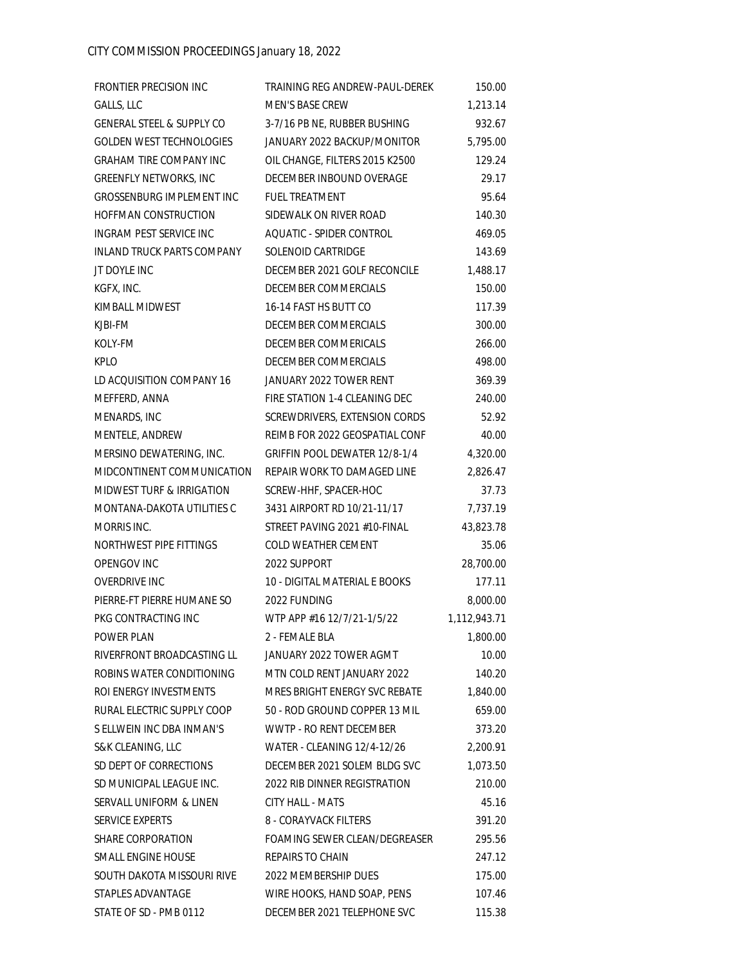| <b>FRONTIER PRECISION INC</b>        | TRAINING REG ANDREW-PAUL-DEREK | 150.00       |
|--------------------------------------|--------------------------------|--------------|
| GALLS, LLC                           | MEN'S BASE CREW                | 1,213.14     |
| <b>GENERAL STEEL &amp; SUPPLY CO</b> | 3-7/16 PB NE, RUBBER BUSHING   | 932.67       |
| <b>GOLDEN WEST TECHNOLOGIES</b>      | JANUARY 2022 BACKUP/MONITOR    | 5,795.00     |
| GRAHAM TIRE COMPANY INC              | OIL CHANGE, FILTERS 2015 K2500 | 129.24       |
| <b>GREENFLY NETWORKS, INC</b>        | DECEMBER INBOUND OVERAGE       | 29.17        |
| GROSSENBURG IMPLEMENT INC            | <b>FUEL TREATMENT</b>          | 95.64        |
| HOFFMAN CONSTRUCTION                 | SIDEWALK ON RIVER ROAD         | 140.30       |
| INGRAM PEST SERVICE INC              | AOUATIC - SPIDER CONTROL       | 469.05       |
| INLAND TRUCK PARTS COMPANY           | SOLENOID CARTRIDGE             | 143.69       |
| JT DOYLE INC                         | DECEMBER 2021 GOLF RECONCILE   | 1,488.17     |
| KGFX, INC.                           | DECEMBER COMMERCIALS           | 150.00       |
| KIMBALL MIDWEST                      | 16-14 FAST HS BUTT CO          | 117.39       |
| KJBI-FM                              | DECEMBER COMMERCIALS           | 300.00       |
| KOLY-FM                              | DECEMBER COMMERICALS           | 266.00       |
| <b>KPLO</b>                          | DECEMBER COMMERCIALS           | 498.00       |
| LD ACQUISITION COMPANY 16            | JANUARY 2022 TOWER RENT        | 369.39       |
| MEFFERD, ANNA                        | FIRE STATION 1-4 CLEANING DEC  | 240.00       |
| MENARDS, INC                         | SCREWDRIVERS, EXTENSION CORDS  | 52.92        |
| MENTELE, ANDREW                      | REIMB FOR 2022 GEOSPATIAL CONF | 40.00        |
| MERSINO DEWATERING, INC.             | GRIFFIN POOL DEWATER 12/8-1/4  | 4,320.00     |
| MIDCONTINENT COMMUNICATION           | REPAIR WORK TO DAMAGED LINE    | 2,826.47     |
| <b>MIDWEST TURF &amp; IRRIGATION</b> | SCREW-HHF, SPACER-HOC          | 37.73        |
| MONTANA-DAKOTA UTILITIES C           | 3431 AIRPORT RD 10/21-11/17    | 7,737.19     |
| MORRIS INC.                          | STREET PAVING 2021 #10-FINAL   | 43,823.78    |
| NORTHWEST PIPE FITTINGS              | COLD WEATHER CEMENT            | 35.06        |
| OPENGOV INC                          | 2022 SUPPORT                   | 28,700.00    |
| <b>OVERDRIVE INC</b>                 | 10 - DIGITAL MATERIAL E BOOKS  | 177.11       |
| PIERRE-FT PIERRE HUMANE SO           | 2022 FUNDING                   | 8,000.00     |
| PKG CONTRACTING INC                  | WTP APP #16 12/7/21-1/5/22     | 1,112,943.71 |
| <b>POWER PLAN</b>                    | 2 - FEMALE BLA                 | 1,800.00     |
| RIVERFRONT BROADCASTING LL           | JANUARY 2022 TOWER AGMT        | 10.00        |
| ROBINS WATER CONDITIONING            | MTN COLD RENT JANUARY 2022     | 140.20       |
| ROI ENERGY INVESTMENTS               | MRES BRIGHT ENERGY SVC REBATE  | 1,840.00     |
| RURAL ELECTRIC SUPPLY COOP           | 50 - ROD GROUND COPPER 13 MIL  | 659.00       |
| S ELLWEIN INC DBA INMAN'S            | <b>WWTP - RO RENT DECEMBER</b> | 373.20       |
| S&K CLEANING, LLC                    | WATER - CLEANING 12/4-12/26    | 2,200.91     |
| SD DEPT OF CORRECTIONS               | DECEMBER 2021 SOLEM BLDG SVC   | 1,073.50     |
| SD MUNICIPAL LEAGUE INC.             | 2022 RIB DINNER REGISTRATION   | 210.00       |
| SERVALL UNIFORM & LINEN              | <b>CITY HALL - MATS</b>        | 45.16        |
| SERVICE EXPERTS                      | 8 - CORAYVACK FILTERS          | 391.20       |
| <b>SHARE CORPORATION</b>             | FOAMING SEWER CLEAN/DEGREASER  | 295.56       |
| SMALL ENGINE HOUSE                   | REPAIRS TO CHAIN               | 247.12       |
| SOUTH DAKOTA MISSOURI RIVE           | 2022 MEMBERSHIP DUES           | 175.00       |
| STAPLES ADVANTAGE                    | WIRE HOOKS, HAND SOAP, PENS    | 107.46       |
| STATE OF SD - PMB 0112               | DECEMBER 2021 TELEPHONE SVC    | 115.38       |